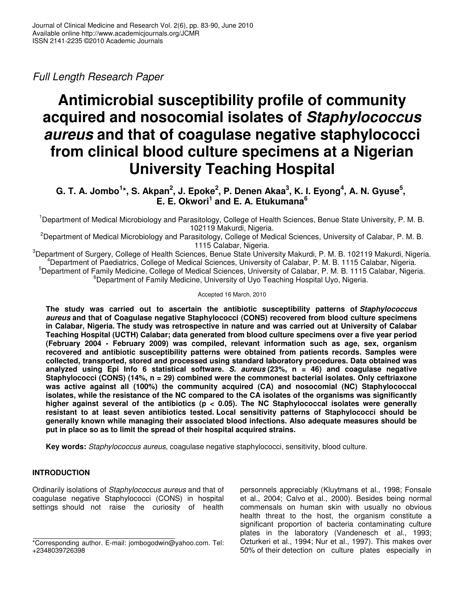# Full Length Research Paper

# **Antimicrobial susceptibility profile of community acquired and nosocomial isolates of Staphylococcus aureus and that of coagulase negative staphylococci from clinical blood culture specimens at a Nigerian University Teaching Hospital**

**G. T. A. Jombo<sup>1</sup> \*, S. Akpan<sup>2</sup> , J. Epoke<sup>2</sup> , P. Denen Akaa<sup>3</sup> , K. I. Eyong<sup>4</sup> , A. N. Gyuse<sup>5</sup> , E. E. Okwori<sup>1</sup> and E. A. Etukumana<sup>6</sup>**

<sup>1</sup>Department of Medical Microbiology and Parasitology, College of Health Sciences, Benue State University, P. M. B. 102119 Makurdi, Nigeria.

<sup>2</sup>Department of Medical Microbiology and Parasitology, College of Medical Sciences, University of Calabar, P. M. B. 1115 Calabar, Nigeria.

<sup>3</sup>Department of Surgery, College of Health Sciences, Benue State University Makurdi, P. M. B. 102119 Makurdi, Nigeria. <sup>4</sup>Department of Paediatrics, College of Medical Sciences, University of Calabar, P. M. B. 1115 Calabar, Nigeria. <sup>5</sup>Department of Family Medicine, College of Medical Sciences, University of Calabar, P. M. B. 1115 Calabar, Nigeria. <sup>6</sup>Department of Family Medicine, University of Uyo Teaching Hospital Uyo, Nigeria.

Accepted 16 March, 2010

**The study was carried out to ascertain the antibiotic susceptibility patterns of Staphylococcus aureus and that of Coagulase negative Staphylococci (CONS) recovered from blood culture specimens in Calabar, Nigeria. The study was retrospective in nature and was carried out at University of Calabar Teaching Hospital (UCTH) Calabar; data generated from blood culture specimens over a five year period (February 2004 - February 2009) was compiled, relevant information such as age, sex, organism recovered and antibiotic susceptibility patterns were obtained from patients records. Samples were collected, transported, stored and processed using standard laboratory procedures. Data obtained was analyzed using Epi Info 6 statistical software. S. aureus (23%, n = 46) and coagulase negative Staphylococci (CONS) (14%, n = 29) combined were the commonest bacterial isolates. Only ceftriaxone was active against all (100%) the community acquired (CA) and nosocomial (NC) Staphylococcal isolates, while the resistance of the NC compared to the CA isolates of the organisms was significantly higher against several of the antibiotics (p < 0.05). The NC Staphylococcal isolates were generally resistant to at least seven antibiotics tested. Local sensitivity patterns of Staphylococci should be generally known while managing their associated blood infections. Also adequate measures should be put in place so as to limit the spread of their hospital acquired strains.** 

**Key words:** Staphylococcus aureus, coagulase negative staphylococci, sensitivity, blood culture.

# **INTRODUCTION**

Ordinarily isolations of Staphylococcus aureus and that of coagulase negative Staphylococci (CONS) in hospital settings should not raise the curiosity of health

personnels appreciably (Kluytmans et al., 1998; Fonsale et al., 2004; Calvo et al., 2000). Besides being normal commensals on human skin with usually no obvious health threat to the host, the organism constitute a significant proportion of bacteria contaminating culture plates in the laboratory (Vandenesch et al., 1993; Ozturkeri et al., 1994; Nur et al., 1997). This makes over 50% of their detection on culture plates especially in

<sup>\*</sup>Corresponding author. E-mail: jombogodwin@yahoo.com. Tel: +2348039726398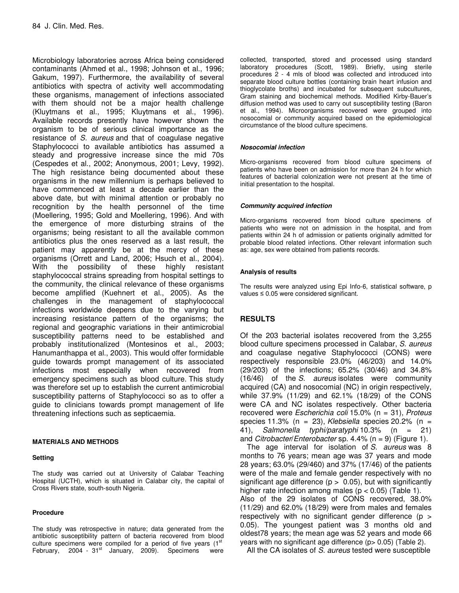Microbiology laboratories across Africa being considered contaminants (Ahmed et al., 1998; Johnson et al., 1996; Gakum, 1997). Furthermore, the availability of several antibiotics with spectra of activity well accommodating these organisms, management of infections associated with them should not be a major health challenge (Kluytmans et al., 1995; Kluytmans et al., 1996). Available records presently have however shown the organism to be of serious clinical importance as the resistance of S. aureus and that of coagulase negative Staphylococci to available antibiotics has assumed a steady and progressive increase since the mid 70s (Cespedes et al., 2002; Anonymous, 2001; Levy, 1992). The high resistance being documented about these organisms in the new millennium is perhaps believed to have commenced at least a decade earlier than the above date, but with minimal attention or probably no recognition by the health personnel of the time (Moellering, 1995; Gold and Moellering, 1996). And with the emergence of more disturbing strains of the organisms; being resistant to all the available common antibiotics plus the ones reserved as a last result, the patient may apparently be at the mercy of these organisms (Orrett and Land, 2006; Hsuch et al., 2004). With the possibility of these highly resistant staphylococcal strains spreading from hospital settings to the community, the clinical relevance of these organisms become amplified (Kuehnert et al., 2005). As the challenges in the management of staphylococcal infections worldwide deepens due to the varying but increasing resistance pattern of the organisms; the regional and geographic variations in their antimicrobial susceptibility patterns need to be established and probably institutionalized (Montesinos et al., 2003; Hanumanthappa et al., 2003). This would offer formidable guide towards prompt management of its associated infections most especially when recovered from emergency specimens such as blood culture. This study was therefore set up to establish the current antimicrobial susceptibility patterns of Staphylococci so as to offer a guide to clinicians towards prompt management of life threatening infections such as septicaemia.

#### **MATERIALS AND METHODS**

#### **Setting**

The study was carried out at University of Calabar Teaching Hospital (UCTH), which is situated in Calabar city, the capital of Cross Rivers state, south-south Nigeria.

#### **Procedure**

The study was retrospective in nature; data generated from the antibiotic susceptibility pattern of bacteria recovered from blood culture specimens were compiled for a period of five years  $(1<sup>st</sup>$ February, 2004 - 31<sup>st</sup> January, 2009). Specimens were

collected, transported, stored and processed using standard laboratory procedures (Scott, 1989). Briefly, using sterile procedures 2 - 4 mls of blood was collected and introduced into separate blood culture bottles (containing brain heart infusion and thioglycolate broths) and incubated for subsequent subcultures, Gram staining and biochemical methods. Modified Kirby-Bauer's diffusion method was used to carry out susceptibility testing (Baron et al., 1994). Microorganisms recovered were grouped into nosocomial or community acquired based on the epidemiological circumstance of the blood culture specimens.

#### **Nosocomial infection**

Micro-organisms recovered from blood culture specimens of patients who have been on admission for more than 24 h for which features of bacterial colonization were not present at the time of initial presentation to the hospital.

#### **Community acquired infection**

Micro-organisms recovered from blood culture specimens of patients who were not on admission in the hospital, and from patients within 24 h of admission or patients originally admitted for probable blood related infections. Other relevant information such as: age, sex were obtained from patients records.

#### **Analysis of results**

The results were analyzed using Epi Info-6, statistical software, p values ≤ 0.05 were considered significant.

# **RESULTS**

Of the 203 bacterial isolates recovered from the 3,255 blood culture specimens processed in Calabar, S. aureus and coagulase negative Staphylococci (CONS) were respectively responsible 23.0% (46/203) and 14.0% (29/203) of the infections; 65.2% (30/46) and 34.8% (16/46) of the S. aureus isolates were community acquired (CA) and nosocomial (NC) in origin respectively, while 37.9% (11/29) and 62.1% (18/29) of the CONS were CA and NC isolates respectively. Other bacteria recovered were *Escherichia coli* 15.0% ( $n = 31$ ), *Proteus* species 11.3% (n = 23), Klebsiella species 20.2% (n = 41), Salmonella typhi/paratyphi 10.3% (n = 21) and *Citrobacter/Enterobacter* sp. 4.4% ( $n = 9$ ) (Figure 1).

The age interval for isolation of S. aureus was 8 months to 76 years; mean age was 37 years and mode 28 years; 63.0% (29/460) and 37% (17/46) of the patients were of the male and female gender respectively with no significant age difference ( $p > 0.05$ ), but with significantly higher rate infection among males ( $p < 0.05$ ) (Table 1). Also of the 29 isolates of CONS recovered, 38.0% (11/29) and 62.0% (18/29) were from males and females respectively with no significant gender difference ( $p >$ 0.05). The youngest patient was 3 months old and oldest78 years; the mean age was 52 years and mode 66 years with no significant age difference (p> 0.05) (Table 2).

All the CA isolates of S. aureus tested were susceptible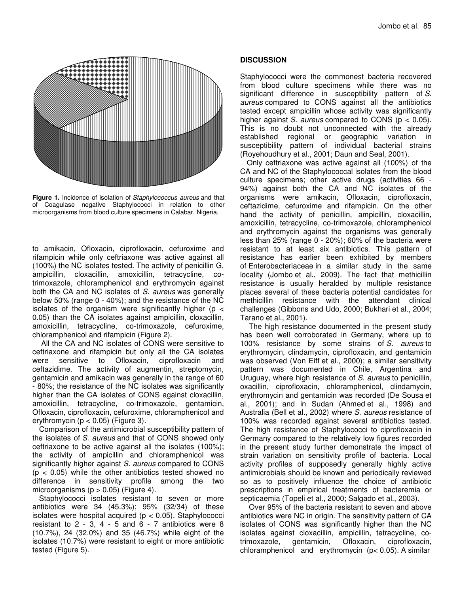

Figure 1. Incidence of isolation of Staphylococcus aureus and that of Coagulase negative Staphylococci in relation to other microorganisms from blood culture specimens in Calabar, Nigeria.

to amikacin, Ofloxacin, ciprofloxacin, cefuroxime and rifampicin while only ceftriaxone was active against all (100%) the NC isolates tested. The activity of penicillin G, ampicillin, cloxacillin, amoxicillin, tetracycline, cotrimoxazole, chloramphenicol and erythromycin against both the CA and NC isolates of S. aureus was generally below 50% (range 0 - 40%); and the resistance of the NC isolates of the organism were significantly higher ( $p <$ 0.05) than the CA isolates against ampicillin, cloxacillin, amoxicillin, tetracycline, co-trimoxazole, cefuroxime, chloramphenicol and rifampicin (Figure 2).

 All the CA and NC isolates of CONS were sensitive to ceftriaxone and rifampicin but only all the CA isolates were sensitive to Ofloxacin, ciprofloxacin and ceftazidime. The activity of augmentin, streptomycin, gentamicin and amikacin was generally in the range of 60 - 80%; the resistance of the NC isolates was significantly higher than the CA isolates of CONS against cloxacillin, amoxicillin, tetracycline, co-trimoxazole, gentamicin, Ofloxacin, ciprofloxacin, cefuroxime, chloramphenicol and erythromycin ( $p < 0.05$ ) (Figure 3).

Comparison of the antimicrobial susceptibility pattern of the isolates of S. aureus and that of CONS showed only ceftriaxone to be active against all the isolates (100%); the activity of ampicillin and chloramphenicol was significantly higher against S. aureus compared to CONS  $(p < 0.05)$  while the other antibiotics tested showed no difference in sensitivity profile among the two microorganisms ( $p > 0.05$ ) (Figure 4).

Staphylococci isolates resistant to seven or more antibiotics were 34 (45.3%); 95% (32/34) of these isolates were hospital acquired ( $p < 0.05$ ). Staphylococci resistant to  $2 - 3$ ,  $4 - 5$  and  $6 - 7$  antibiotics were 8 (10.7%), 24 (32.0%) and 35 (46.7%) while eight of the isolates (10.7%) were resistant to eight or more antibiotic tested (Figure 5).

# **DISCUSSION**

Staphylococci were the commonest bacteria recovered from blood culture specimens while there was no significant difference in susceptibility pattern of S. aureus compared to CONS against all the antibiotics tested except ampicillin whose activity was significantly higher against S. aureus compared to CONS ( $p < 0.05$ ). This is no doubt not unconnected with the already established regional or geographic variation in susceptibility pattern of individual bacterial strains (Royehoudhury et al., 2001; Daun and Seal, 2001).

Only ceftriaxone was active against all (100%) of the CA and NC of the Staphylococcal isolates from the blood culture specimens; other active drugs (activities 66 - 94%) against both the CA and NC isolates of the organisms were amikacin, Ofloxacin, ciprofloxacin, ceftazidime, cefuroxime and rifampicin. On the other hand the activity of penicillin, ampicillin, cloxacillin, amoxicillin, tetracycline, co-trimoxazole, chloramphenicol and erythromycin against the organisms was generally less than 25% (range 0 - 20%); 60% of the bacteria were resistant to at least six antibiotics. This pattern of resistance has earlier been exhibited by members of Enterobacteriaceae in a similar study in the same locality (Jombo et al., 2009). The fact that methicillin resistance is usually heralded by multiple resistance places several of these bacteria potential candidates for methicillin resistance with the attendant clinical challenges (Gibbons and Udo, 2000; Bukhari et al., 2004; Tarano et al., 2001).

 The high resistance documented in the present study has been well corroborated in Germany, where up to 100% resistance by some strains of S. aureus to erythromycin, clindamycin, ciprofloxacin, and gentamicin was observed (Von Eiff et al., 2000); a similar sensitivity pattern was documented in Chile, Argentina and Uruguay, where high resistance of S. aureus to penicillin, oxacillin, ciprofloxacin, chloramphenicol, clindamycin, erythromycin and gentamicin was recorded (De Sousa et al., 2001); and in Sudan (Ahmed et al., 1998) and Australia (Bell et al., 2002) where S. aureus resistance of 100% was recorded against several antibiotics tested. The high resistance of Staphylococci to ciprofloxacin in Germany compared to the relatively low figures recorded in the present study further demonstrate the impact of strain variation on sensitivity profile of bacteria. Local activity profiles of supposedly generally highly active antimicrobials should be known and periodically reviewed so as to positively influence the choice of antibiotic prescriptions in empirical treatments of bacteremia or septicaemia (Topeli et al., 2000; Salgado et al., 2003).

 Over 95% of the bacteria resistant to seven and above antibiotics were NC in origin. The sensitivity pattern of CA isolates of CONS was significantly higher than the NC isolates against cloxacillin, ampicillin, tetracycline, cotrimoxazole, gentamicin, Ofloxacin, ciprofloxacin, chloramphenicol and erythromycin (p< 0.05). A similar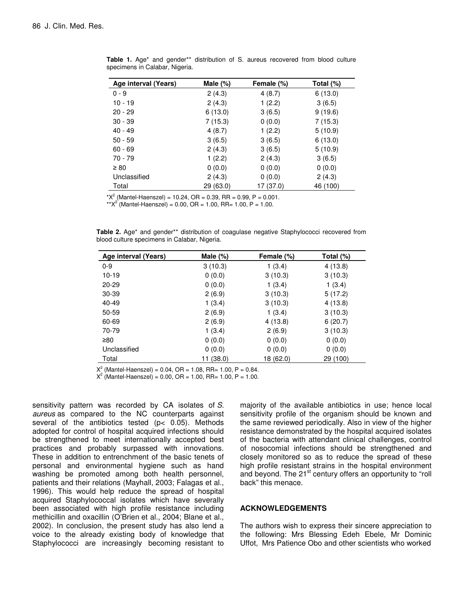| Age interval (Years) | Male $(\%)$ | Female (%) | Total (%) |
|----------------------|-------------|------------|-----------|
| $0 - 9$              | 2(4.3)      | 4(8.7)     | 6(13.0)   |
| $10 - 19$            | 2(4.3)      | 1(2.2)     | 3(6.5)    |
| $20 - 29$            | 6(13.0)     | 3(6.5)     | 9(19.6)   |
| $30 - 39$            | 7(15.3)     | 0(0.0)     | 7 (15.3)  |
| $40 - 49$            | 4(8.7)      | 1(2.2)     | 5(10.9)   |
| $50 - 59$            | 3(6.5)      | 3(6.5)     | 6(13.0)   |
| $60 - 69$            | 2(4.3)      | 3(6.5)     | 5(10.9)   |
| 70 - 79              | 1(2.2)      | 2(4.3)     | 3(6.5)    |
| $\geq 80$            | 0(0.0)      | 0(0.0)     | 0(0.0)    |
| Unclassified         | 2(4.3)      | 0(0.0)     | 2(4.3)    |
| Total                | 29 (63.0)   | 17 (37.0)  | 46 (100)  |

**Table 1.** Age\* and gender\*\* distribution of S. aureus recovered from blood culture specimens in Calabar, Nigeria.

\* $X^2$  (Mantel-Haenszel) = 10.24, OR = 0.39, RR = 0.99, P = 0.001.

\*\* $X^2$  (Mantel-Haenszel) = 0.00, OR = 1.00, RR= 1.00, P = 1.00.

|  |                                              |  | <b>Table 2.</b> Age <sup>*</sup> and gender <sup>**</sup> distribution of coagulase negative Staphylococci recovered from |  |
|--|----------------------------------------------|--|---------------------------------------------------------------------------------------------------------------------------|--|
|  | blood culture specimens in Calabar, Nigeria. |  |                                                                                                                           |  |

| Age interval (Years) | Male $(\%)$ | Female (%) | Total (%) |
|----------------------|-------------|------------|-----------|
| $0 - 9$              | 3(10.3)     | 1(3.4)     | 4(13.8)   |
| $10 - 19$            | 0(0.0)      | 3(10.3)    | 3(10.3)   |
| $20 - 29$            | 0(0.0)      | 1(3.4)     | 1(3.4)    |
| 30-39                | 2(6.9)      | 3(10.3)    | 5(17.2)   |
| $40 - 49$            | 1(3.4)      | 3(10.3)    | 4(13.8)   |
| 50-59                | 2(6.9)      | 1(3.4)     | 3(10.3)   |
| 60-69                | 2(6.9)      | 4(13.8)    | 6(20.7)   |
| 70-79                | 1(3.4)      | 2(6.9)     | 3(10.3)   |
| ≥80                  | 0(0.0)      | 0(0.0)     | 0(0.0)    |
| Unclassified         | 0(0.0)      | 0(0.0)     | 0(0.0)    |
| Total                | 11 (38.0)   | 18 (62.0)  | 29 (100)  |

 $X^2$  (Mantel-Haenszel) = 0.04, OR = 1.08, RR= 1.00, P = 0.84.

 $X^2$  (Mantel-Haenszel) = 0.00, OR = 1.00, RR= 1.00, P = 1.00.

sensitivity pattern was recorded by CA isolates of S. aureus as compared to the NC counterparts against several of the antibiotics tested (p< 0.05). Methods adopted for control of hospital acquired infections should be strengthened to meet internationally accepted best practices and probably surpassed with innovations. These in addition to entrenchment of the basic tenets of personal and environmental hygiene such as hand washing be promoted among both health personnel, patients and their relations (Mayhall, 2003; Falagas et al., 1996). This would help reduce the spread of hospital acquired Staphylococcal isolates which have severally been associated with high profile resistance including methicillin and oxacillin (O'Brien et al., 2004; Blane et al., 2002). In conclusion, the present study has also lend a voice to the already existing body of knowledge that Staphylococci are increasingly becoming resistant to

majority of the available antibiotics in use; hence local sensitivity profile of the organism should be known and the same reviewed periodically. Also in view of the higher resistance demonstrated by the hospital acquired isolates of the bacteria with attendant clinical challenges, control of nosocomial infections should be strengthened and closely monitored so as to reduce the spread of these high profile resistant strains in the hospital environment and beyond. The 21<sup>st</sup> century offers an opportunity to "roll back" this menace.

### **ACKNOWLEDGEMENTS**

The authors wish to express their sincere appreciation to the following: Mrs Blessing Edeh Ebele, Mr Dominic Uffot, Mrs Patience Obo and other scientists who worked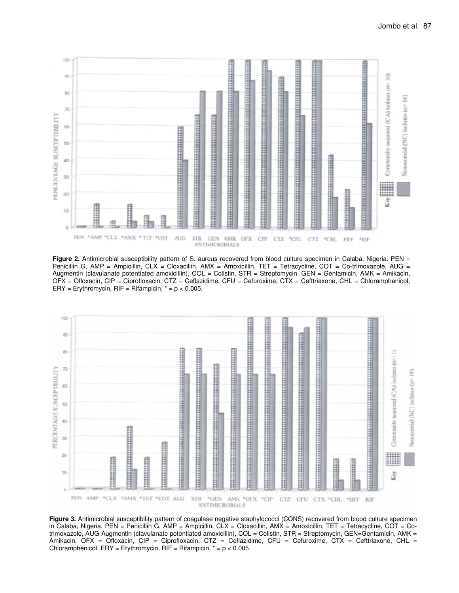

Figure 2. Antimicrobial susceptibility pattern of S. aureus recovered from blood culture specimen in Calaba, Nigeria. PEN = Penicillin G, AMP = Ampicillin, CLX = Cloxacillin, AMX = Amoxicillin, TET = Tetracycline, COT = Co-trimoxazole, AUG = Augmentin (clavulanate potentiated amoxicillin), COL = Colistin, STR = Streptomycin, GEN = Gentamicin, AMK = Amikacin, OFX = Ofloxacin, CIP = Ciprofloxacin, CTZ = Ceflazidime, CFU = Cefuroxime, CTX = Cefttriaxone, CHL = Chloramphenicol,  $ERY = Erythromycin, RIF = Rifampicin, * = p < 0.005$ .



**Figure 3.** Antimicrobial susceptibility pattern of coagulase negative staphylococci (CONS) recovered from blood culture specimen in Calaba, Nigeria. PEN = Penicillin G, AMP = Ampicillin, CLX = Cloxacillin, AMX = Amoxicillin, TET = Tetracycline, COT = Cotrimoxazole, AUG-Augmentin (clavulanate potentiated amoxicillin), COL = Colistin, STR = Streptomycin, GEN=Gentamicin, AMK = Amikacin, OFX = Ofloxacin, CIP = Ciprofloxacin, CTZ = Ceflazidime, CFU = Cefuroxime, CTX = Cefttriaxone, CHL = Chloramphenicol,  $ERY = Erythromycin$ ,  $RIF = Rifampicin$ ,  $* = p < 0.005$ .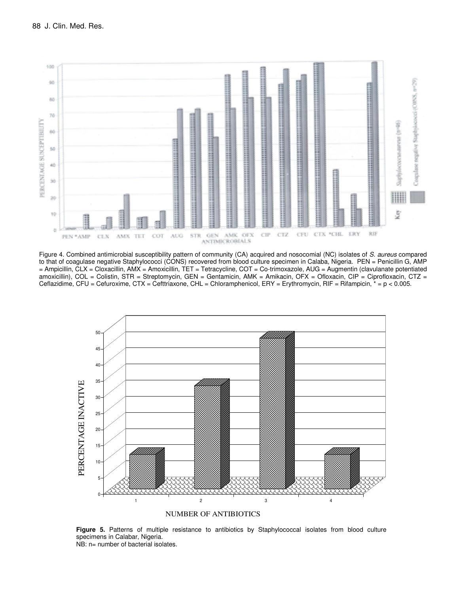

Figure 4. Combined antimicrobial susceptibility pattern of community (CA) acquired and nosocomial (NC) isolates of S. aureus compared to that of coagulase negative Staphylococci (CONS) recovered from blood culture specimen in Calaba, Nigeria. PEN = Penicillin G, AMP = Ampicillin, CLX = Cloxacillin, AMX = Amoxicillin, TET = Tetracycline, COT = Co-trimoxazole, AUG = Augmentin (clavulanate potentiated amoxicillin), COL = Colistin, STR = Streptomycin, GEN = Gentamicin, AMK = Amikacin, OFX = Ofloxacin, CIP = Ciprofloxacin, CTZ = Ceflazidime, CFU = Cefuroxime, CTX = Cefttriaxone, CHL = Chloramphenicol, ERY = Erythromycin, RIF = Rifampicin, \* = p < 0.005.



NUMBER OF ANTIBIOTICS

**Figure 5.** Patterns of multiple resistance to antibiotics by Staphylococcal isolates from blood culture specimens in Calabar, Nigeria.

NB: n= number of bacterial isolates.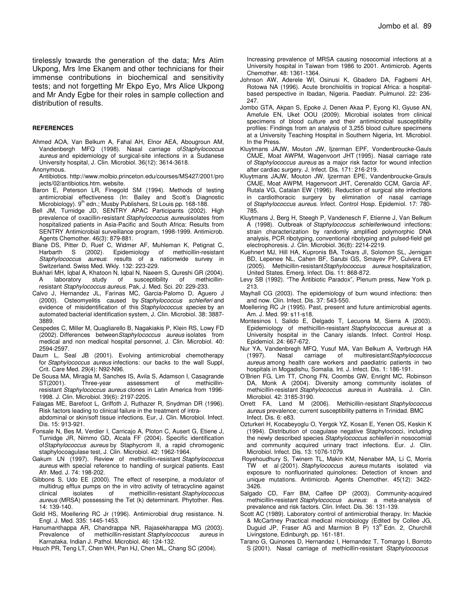tirelessly towards the generation of the data; Mrs Atim Ukpong, Mrs Ime Ekanem and other technicians for their immense contributions in biochemical and sensitivity tests; and not forgetting Mr Ekpo Eyo, Mrs Alice Ukpong and Mr Andy Egbe for their roles in sample collection and distribution of results.

#### **REFERENCES**

Ahmed AOA, Van Belkum A, Fahal AH, Elnor AEA, Abougroun AM, Vandenbergh MFQ (1998). Nasal carriage of Staphylococcus aureus and epidemiology of surgical-site infections in a Sudanese University hospital, J. Clin. Microbiol. 36(12): 3614-3618.

Anonymous.

- Antibiotics. http://www.molbio.princeton.edu/courses/MS427/2001/pro jects/02/antibiotics.htm. website.
- Baron E, Peterson LR, Finegold SM (1994). Methods of testing antimicrobial effectiveness (In: Bailey and Scott's Diagnostic Microbiology). 9<sup>th</sup> edn.; Musby Publishers, St Louis pp. 168-188.
- Bell JM, Turnidge JD, SENTRY APAC Participants (2002). High prevalence of oxacillin-resistant Staphylococcus aureusisolates from hospitalized patients in Asia-Pacific and South Africa: Results from SENTRY Antimicrobial surveillance program, 1998-1999. Antimicrob. Agents Chemother. 46(3): 879-881.
- Blane DS, Pitter D, Ruef C, Widmer AF, Muhleman K, Petignat C, Harbarth S (2002). Epidemiology of methicillin-resistant Staphylococcus aureus: results of a nationwide survey in Switzerland. Swiss Med. Wkly. 132: 223-229.
- Bukhari MH, Iqbal A, Khatoon N, Iqbal N, Naeem S, Qureshi GR (2004). A laboratory study of susceptibility of methicillinresistant Staphylococcus aureus. Pak, J. Med. Sci. 20: 229-233.
- Calvo J, Hernandez JL, Farinas MC, Garcia-Palomo D, Aguero J (2000). Osteomyelitis caused by Staphylococcus schleiferi and evidence of misidentification of this Staphylococcus species by an automated bacterial identification system, J. Clin. Microbiol. 38: 3887- 3889.
- Cespedes C, Miller M, Quagliarello B, Nagakiakis P, Klein RS, Lowy FD (2002). Differences between Staphylococcus aureus isolates from medical and non medical hospital personnel, J. Clin. Microbiol. 40: 2594-2597.
- Daum L, Seal JB (2001). Evolving antimicrobial chemotherapy for Staphylococcus aureus infections: our backs to the wall Suppl, Crit. Care Med. 29(4): N92-N96.
- De Sousa MA, Miragia M, Sanches IS, Avila S, Adamson I, Casagrande Three-year assessment of methicillinresistant Staphylococcus aureus clones in Latin America from 1996- 1998. J. Clin. Microbiol. 39(6): 2197-2205.
- Falagas ME, Barefoot L, Griffoth J, Ruthazer R, Snydman DR (1996). Risk factors leading to clinical failure in the treatment of intraabdominal or skin/soft tissue infections. Eur, J. Clin. Microbiol. Infect. Dis. 15: 913-921.
- Fonsale N, Bes M, Verdier I, Carricajo A, Ploton C, Ausert G, Etiene J, Turnidge JR, Nimmo GD, Alcala FF (2004). Specific identification ofStaphylococcus aureus by Staphycrom II, a rapid chromogenic staphylocoagulase test, J. Clin. Microbiol. 42: 1962-1964.
- Gakum LN (1997). Review of methicillin-resistant Staphylococcus aureus with special reference to handling of surgical patients. East Afr. Med. J. 74: 198-202.
- Gibbons S, Udo EE (2000). The effect of reserpine, a modulator of multidrug efflux pumps on the in vitro activity of tetracycline against clinical isolates of methicillin-resistant Staphylococcus aureus (MRSA) possessing the Tet (k) determinant. Phytother. Res. 14: 139-140.
- Gold HS, Moellering RC Jr (1996). Antimicrobial drug resistance. N. Engl. J. Med. 335: 1445-1453.
- Hanumanthappa AR, Chandrappa NR, Rajasekharappa MG (2003). Prevalence of methicillin-resistant Staphylococcus aureus in Karnataka. Indian J. Pathol. Microbiol. 46: 124-132.
- Hsuch PR, Teng LT, Chen WH, Pan HJ, Chen ML, Chang SC (2004).

 Increasing prevalence of MRSA causing nosocomial infections at a University hospital in Taiwan from 1986 to 2001. Antimicrob. Agents Chemother. 48: 1361-1364.

- Johnson AW, Aderele WI, Osinusi K, Gbadero DA, Fagbemi AH, Rotowa NA (1996). Acute bronchiolitis in tropical Africa: a hospitalbased perspective in Ibadan, Nigeria. Paediatr. Pulmunol. 22: 236- 247.
- Jombo GTA, Akpan S, Epoke J, Denen Akaa P, Eyong KI, Gyuse AN, Amefule EN, Uket OOU (2009). Microbial isolates from clinical specimens of blood culture and their antimicrobial susceptibility profiles: Findings from an analysis of 3,255 blood culture specimens at a University Teaching Hospital in Southern Nigeria, Int. Microbiol. In the Press.
- Kluytmans JAJW, Mouton JW, Ijzerman EPF, Vondenbroucke-Gauls CMJE, Moat AWPM, Wagenvoort JHT (1995). Nasal carriage rate of Staphylococcus aureus as a major risk factor for wound infection after cardiac surgery. J. Infect. Dis. 171: 216-219.
- Kluytmans JAJW, Mouton JW, Ijzerman EPE, Vandenbroucke-Grauls CMJE, Moat AWPM, Hagenvoort JHT, Cerenaldo CCM, Garcia AF, Rutala VG, Catalan EW (1996). Reduction of surgical site infections in cardiothoracic surgery by elimination of nasal carriage of Staphylococcus aureus. Infect. Control Hosp. Epidemiol. 17: 780- 785.
- Kluytmans J, Berg H, Steegh P, Vandenesch F, Etienne J, Van Belkum A (1998). Outbreak of Staphylococcus schleiferiwound infections: strain characterization by randomly amplified polymorphic DNA analysis, PCR ribotyping, conventional ribotyping and pulsed-field gel electrophoresis. J. Clin. Microbiol. 36(8): 2214-2219.
- Kuehnert MJ, Hill HA, Kupronis BA, Tokars JI, Solomon SL, Jernigan BD, Lepenee NL, Cahen BF, Sarubi GS, Smayev PP, Culvera ET (2005). Methicillin-resistantStaphylococcus aureus hospitalization, United States. Emerg. Infect. Dis. 11: 868-872.
- Levy SB (1992). "The Antibiotic Paradox", Plenum press, New York p. 213.
- Mayhall CG (2003). The epidemiology of burn wound infections: then and now. Clin. Infect. Dis. 37: 543-550.
- Moellering RC Jr (1995). Past, present and future antimicrobial agents. Am. J. Med. 99: s11-s18.
- Montesinos I, Salido E, Delgado T, Lecuona M, Sierra A (2003). Epidemiology of methicillin-resistant Staphylococcus aureus at a University hospital in the Canary islands. Infect. Control Hosp. Epidemiol. 24: 667-672.
- Nur YA, Vandenbregh MFQ, Yusuf MA, Van Belkum A, Verbrugh HA (1997). Nasal carriage of multiresistantStaphylococcus aureus among health care workers and paediatric patients in two hospitals in Mogadishu, Somalia. Int. J. Infect. Dis. 1: 186-191.
- O'Brien FG, Lim TT, Chong FN, Coombs GW, Enright MC, Robinson DA, Monk A (2004). Diversity among community isolates of methicillin-resistant Staphylococcus aureus in Australia. J. Clin. Microbiol. 42: 3185-3190.
- Orrett FA, Land M (2006). Methicillin-resistant Staphylococcus aureus prevalence; current susceptibility patterns in Trinidad. BMC Infect. Dis. 6: e83.
- Ozturkeri H, Kocabeyoglu O, Yergok YZ, Kosan E, Yenen OS, Keskin K (1994). Distribution of coagulase negative Staphylococci, including the newly described species Staphylococcus schleiferi in nosocomial and community acquired urinary tract infections. Eur. J. Clin. Microbiol. Infect. Dis. 13: 1076-1079.
- Royehoudhury S, Twinem TL, Makin KM, Nienaber MA, Li C, Morris TW et al (2001). Staphylococcus aureus mutants isolated via exposure to nonfluorinated quinolones: Detection of known and unique mutations. Antimicrob. Agents Chemother. 45(12): 3422- 3426.
- Salgado CD, Farr BM, Calfee DP (2003). Community-acquired methicillin-resistant Staphylococcus aureus: a meta-analysis of prevalence and risk factors. Clin. Infect. Dis. 36: 131-139.
- Scott AC (1989). Laboratory control of antimicrobial therapy. In: Mackie & McCartney Practical medical microbiology (Edited by Collee JG, Duguid JP, Fraser AG and Marmion B P) 13<sup>th</sup> Edn. 2, Churchill Livingstone, Edinburgh, pp. 161-181.
- Tarano G, Quinones D, Hernandez I, Hernandez T, Tomargo I, Borroto S (2001). Nasal carriage of methicillin-resistant Staphylococcus